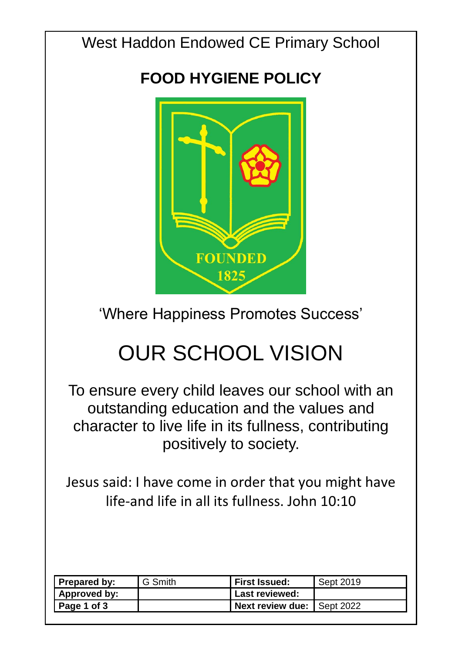West Haddon Endowed CE Primary School

## **FOOD HYGIENE POLICY**



'Where Happiness Promotes Success'

# OUR SCHOOL VISION

To ensure every child leaves our school with an outstanding education and the values and character to live life in its fullness, contributing positively to society.

Jesus said: I have come in order that you might have life-and life in all its fullness. John 10:10

| Prepared by:        | G Smith | <b>First Issued:</b>                | Sept 2019 |
|---------------------|---------|-------------------------------------|-----------|
| <b>Approved by:</b> |         | <b>Last reviewed:</b>               |           |
| $\vert$ Page 1 of 3 |         | <b>Next review due:   Sept 2022</b> |           |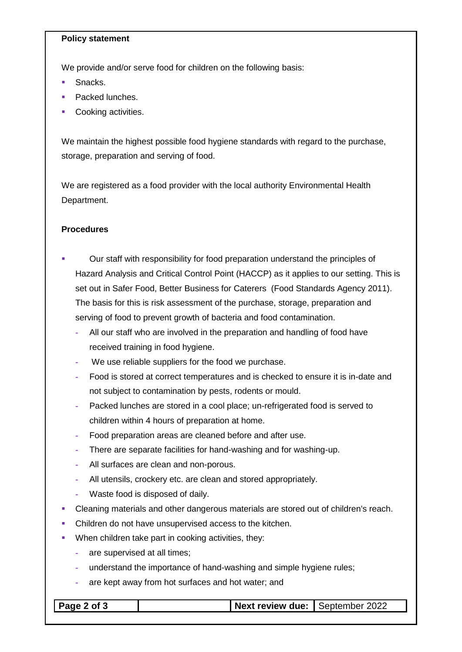#### **Policy statement**

We provide and/or serve food for children on the following basis:

- **Snacks**
- Packed lunches.
- Cooking activities.

We maintain the highest possible food hygiene standards with regard to the purchase, storage, preparation and serving of food.

We are registered as a food provider with the local authority Environmental Health Department.

### **Procedures**

- Our staff with responsibility for food preparation understand the principles of Hazard Analysis and Critical Control Point (HACCP) as it applies to our setting. This is set out in Safer Food, Better Business for Caterers (Food Standards Agency 2011). The basis for this is risk assessment of the purchase, storage, preparation and serving of food to prevent growth of bacteria and food contamination.
	- **-** All our staff who are involved in the preparation and handling of food have received training in food hygiene.
	- **-** We use reliable suppliers for the food we purchase.
	- **-** Food is stored at correct temperatures and is checked to ensure it is in-date and not subject to contamination by pests, rodents or mould.
	- **-** Packed lunches are stored in a cool place; un-refrigerated food is served to children within 4 hours of preparation at home.
	- **-** Food preparation areas are cleaned before and after use.
	- **-** There are separate facilities for hand-washing and for washing-up.
	- **-** All surfaces are clean and non-porous.
	- **-** All utensils, crockery etc. are clean and stored appropriately.
	- **-** Waste food is disposed of daily.
- Cleaning materials and other dangerous materials are stored out of children's reach.
- Children do not have unsupervised access to the kitchen.
- When children take part in cooking activities, they:
	- **-** are supervised at all times;
	- **-** understand the importance of hand-washing and simple hygiene rules;
	- **-** are kept away from hot surfaces and hot water; and

|--|